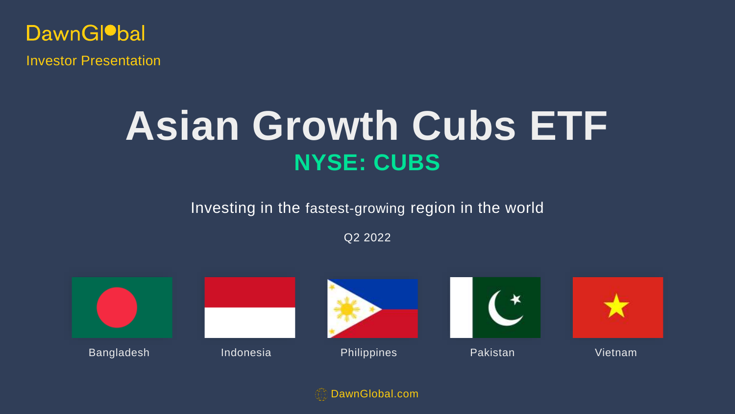**DawnGlobal** Investor Presentation

# **NYSE: CUBS Asian Growth Cubs ETF**

Investing in the fastest-growing region in the world

Q2 2022



DawnGlobal.com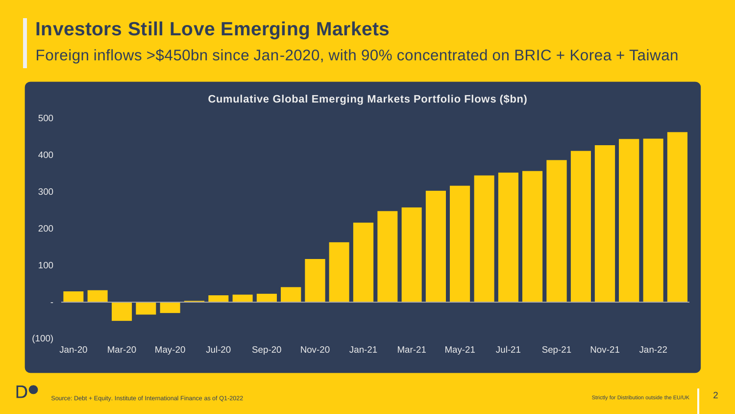## **Investors Still Love Emerging Markets**

Foreign inflows >\$450bn since Jan-2020, with 90% concentrated on BRIC + Korea + Taiwan



Source: Debt + Equity. Institute of International Finance as of Q1-2022 Strictly for Distribution outside the EU/UK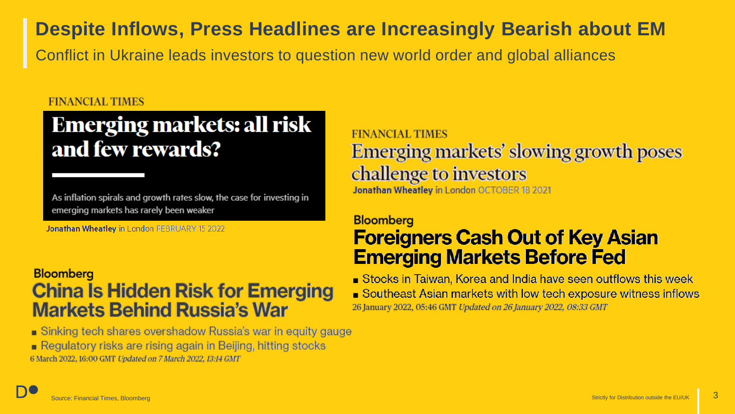## **Despite Inflows, Press Headlines are Increasingly Bearish about EM**

Conflict in Ukraine leads investors to question new world order and global alliances

### **FINANCIAL TIMES**

# **Emerging markets: all risk** and few rewards?

As inflation spirals and growth rates slow, the case for investing in emerging markets has rarely been weaker

Jonathan Wheatley in London FEBRUARY 15 2022

## **Bloomberg China Is Hidden Risk for Emerging Markets Behind Russia's War**

Sinking tech shares overshadow Russia's war in equity gauge Regulatory risks are rising again in Beijing, hitting stocks 6 March 2022, 16:00 GMT Updated on 7 March 2022, 13:14 GMT

**FINANCIAL TIMES** Emerging markets' slowing growth poses challenge to investors Jonathan Wheatley in London OCTOBER 18 2021

## **Bloomberg**

## **Foreigners Cash Out of Key Asian Emerging Markets Before Fed**

Stocks in Taiwan, Korea and India have seen outflows this week ■ Southeast Asian markets with low tech exposure witness inflows 26 January 2022, 05:46 GMT Updated on 26 January 2022, 08:33 GMT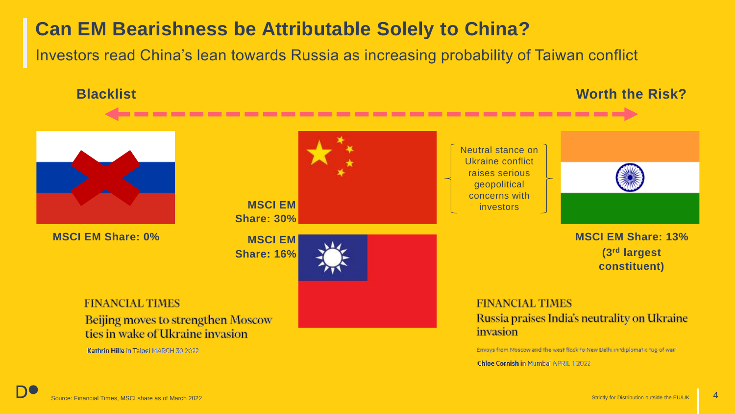## **Can EM Bearishness be Attributable Solely to China?**

Investors read China's lean towards Russia as increasing probability of Taiwan conflict

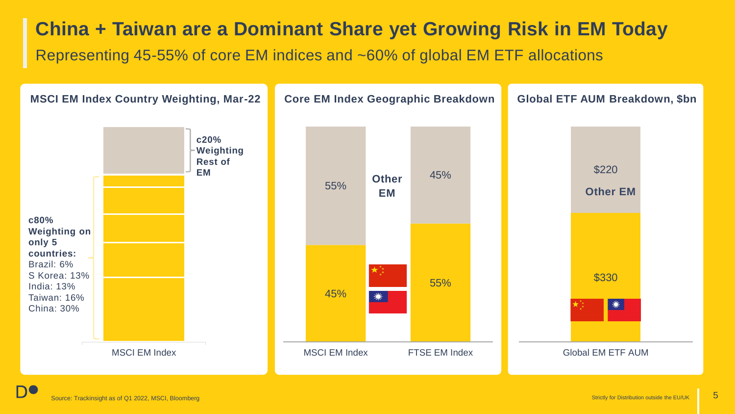## **China + Taiwan are a Dominant Share yet Growing Risk in EM Today**

Representing 45-55% of core EM indices and ~60% of global EM ETF allocations

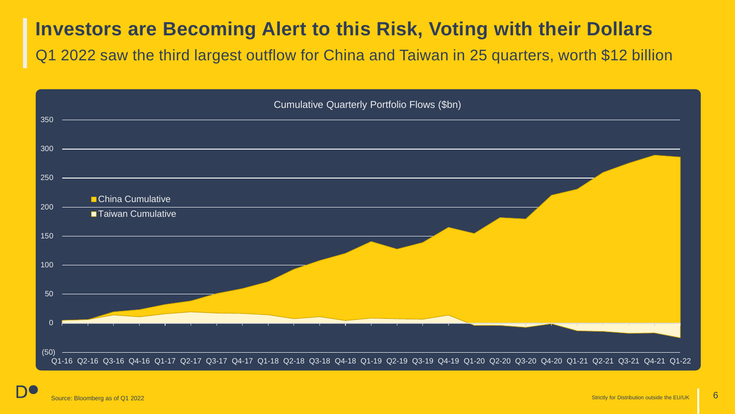## **Investors are Becoming Alert to this Risk, Voting with their Dollars**

Q1 2022 saw the third largest outflow for China and Taiwan in 25 quarters, worth \$12 billion

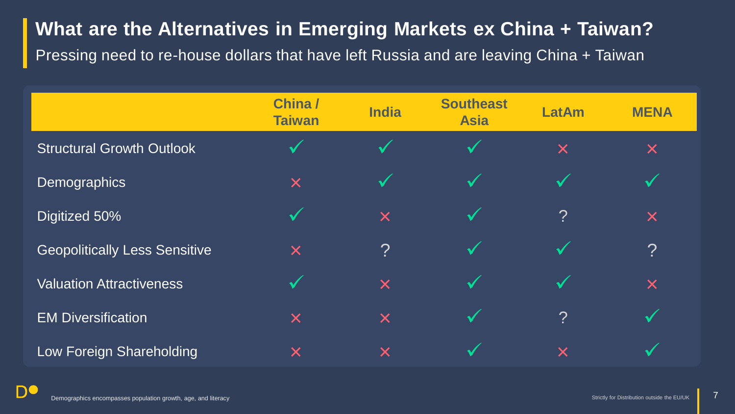## **What are the Alternatives in Emerging Markets ex China + Taiwan?**

Pressing need to re-house dollars that have left Russia and are leaving China + Taiwan

|                                      | China/<br><b>Taiwan</b> | <b>India</b> | <b>Southeast</b><br><b>Asia</b> | <b>LatAm</b>   | <b>MENA</b>      |
|--------------------------------------|-------------------------|--------------|---------------------------------|----------------|------------------|
| <b>Structural Growth Outlook</b>     |                         |              |                                 | X              | X                |
| <b>Demographics</b>                  | X                       | $\checkmark$ | $\checkmark$                    | $\checkmark$   | $\checkmark$     |
| Digitized 50%                        | $\checkmark$            | ×            | $\checkmark$                    | $\overline{?}$ | X                |
| <b>Geopolitically Less Sensitive</b> | ×                       | ?            | $\checkmark$                    |                | $\boldsymbol{?}$ |
| <b>Valuation Attractiveness</b>      | $\checkmark$            | ×            | $\checkmark$                    | $\checkmark$   | X                |
| <b>EM Diversification</b>            | ×                       | X            | $\checkmark$                    | $\tilde{?}$    | $\checkmark$     |
| Low Foreign Shareholding             | X                       | X            | $\blacktriangle$                | X              |                  |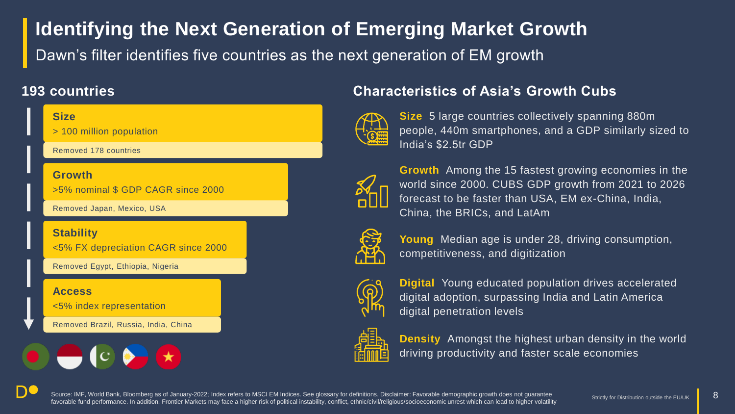# **Identifying the Next Generation of Emerging Market Growth**

Dawn's filter identifies five countries as the next generation of EM growth

## **Size** > 100 million population **Growth** >5% nominal \$ GDP CAGR since 2000 **Stability** Removed 178 countries Removed Japan, Mexico, USA

<5% FX depreciation CAGR since 2000

Removed Egypt, Ethiopia, Nigeria

### **Access**

<5% index representation

Removed Brazil, Russia, India, China



## **193 countries Characteristics of Asia's Growth Cubs**



**Size** 5 large countries collectively spanning 880m people, 440m smartphones, and a GDP similarly sized to India's \$2.5tr GDP



**Growth** Among the 15 fastest growing economies in the world since 2000. CUBS GDP growth from 2021 to 2026 forecast to be faster than USA, EM ex-China, India, China, the BRICs, and LatAm



**Young** Median age is under 28, driving consumption, competitiveness, and digitization



**Digital** Young educated population drives accelerated digital adoption, surpassing India and Latin America digital penetration levels



**Density** Amongst the highest urban density in the world driving productivity and faster scale economies

Source: IMF, World Bank, Bloomberg as of January-2022; Index refers to MSCI EM Indices. See glossary for definitions. Disclaimer: Favorable demographic growth does not guarantee favorable fund performance. In addition, Frontier Markets may face a higher risk of political instability, conflict, ethnic/civil/religious/socioeconomic unrest which can lead to higher volatility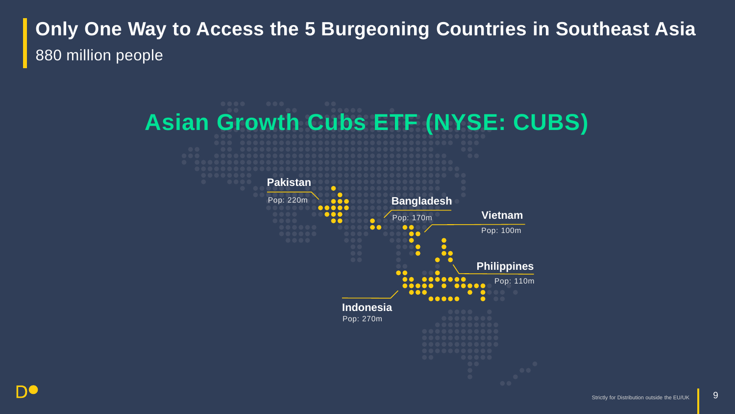# **Only One Way to Access the 5 Burgeoning Countries in Southeast Asia** 880 million people

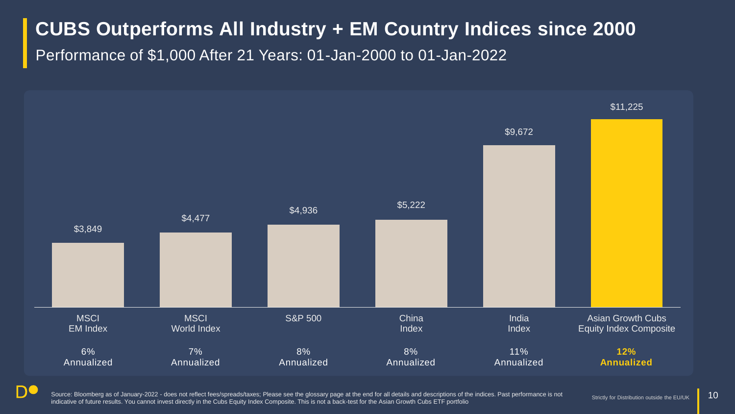## **CUBS Outperforms All Industry + EM Country Indices since 2000**

Performance of \$1,000 After 21 Years: 01-Jan-2000 to 01-Jan-2022



DC

Source: Bloomberg as of January-2022 - does not reflect fees/spreads/taxes; Please see the glossary page at the end for all details and descriptions of the indices. Past performance is not indicative of future results. You cannot invest directly in the Cubs Equity Index Composite. This is not a back-test for the Asian Growth Cubs ETF portfolio

Strictly for Distribution outside the EU/UK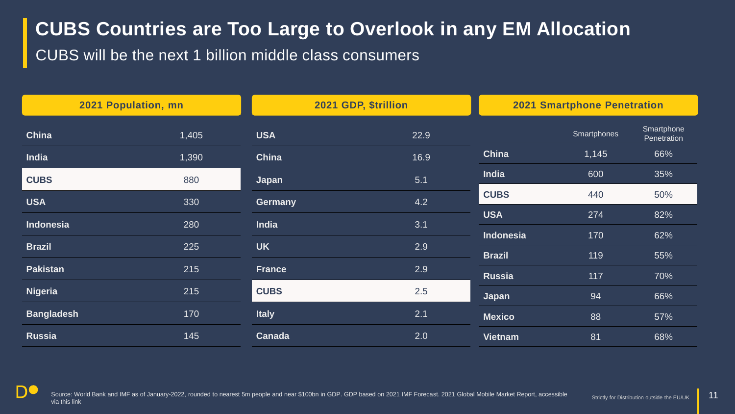# **CUBS Countries are Too Large to Overlook in any EM Allocation**

CUBS will be the next 1 billion middle class consumers

| 2021 Population, mn |       | 2021 GDP, \$trillion |      | <b>2021 Smartphone Penetration</b> |             |                           |
|---------------------|-------|----------------------|------|------------------------------------|-------------|---------------------------|
| China               | 1,405 | <b>USA</b>           | 22.9 |                                    | Smartphones | Smartphone<br>Penetration |
| <b>India</b>        | 1,390 | China                | 16.9 | China                              | 1,145       | 66%                       |
| <b>CUBS</b>         | 880   | Japan                | 5.1  | India                              | 600         | 35%                       |
| <b>USA</b>          | 330   | <b>Germany</b>       | 4.2  | <b>CUBS</b>                        | 440         | 50%                       |
| Indonesia           | 280   | <b>India</b>         | 3.1  | <b>USA</b>                         | 274         | 82%                       |
| <b>Brazil</b>       | 225   | <b>UK</b>            | 2.9  | Indonesia                          | 170         | 62%                       |
|                     |       |                      |      | <b>Brazil</b>                      | 119         | 55%                       |
| <b>Pakistan</b>     | 215   | <b>France</b>        | 2.9  | <b>Russia</b>                      | 117         | 70%                       |
| <b>Nigeria</b>      | 215   | <b>CUBS</b>          | 2.5  | Japan                              | 94          | 66%                       |
| <b>Bangladesh</b>   | 170   | <b>Italy</b>         | 2.1  | <b>Mexico</b>                      | 88          | 57%                       |
| <b>Russia</b>       | 145   | Canada               | 2.0  | <b>Vietnam</b>                     | 81          | 68%                       |

Source: World Bank and IMF as of January-2022, rounded to nearest 5m people and near \$100bn in GDP. GDP based on 2021 IMF Forecast. 2021 Global Mobile Market Report, accessible via this link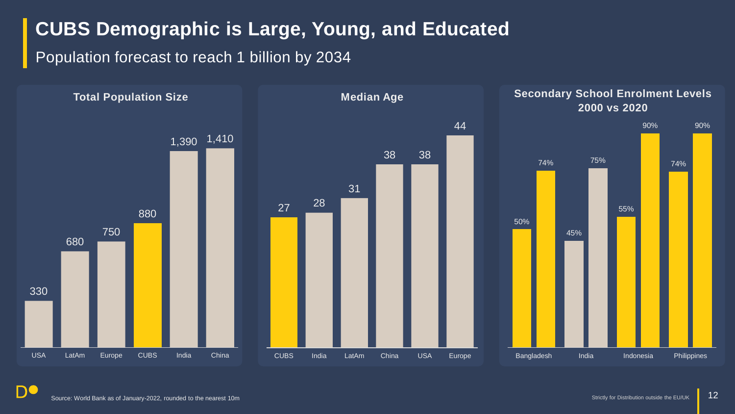## **CUBS Demographic is Large, Young, and Educated**

Population forecast to reach 1 billion by 2034

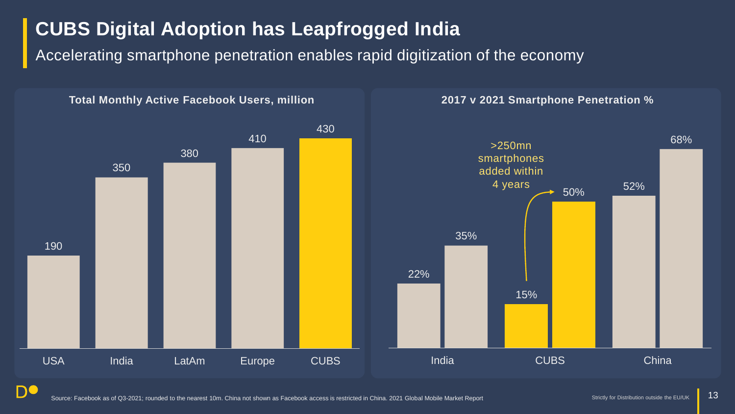# **CUBS Digital Adoption has Leapfrogged India**

Accelerating smartphone penetration enables rapid digitization of the economy



Source: Facebook as of Q3-2021; rounded to the nearest 10m. China not shown as Facebook access is restricted in China. 2021 Global Mobile Market Report Strictly for Distribution outside the EU/UK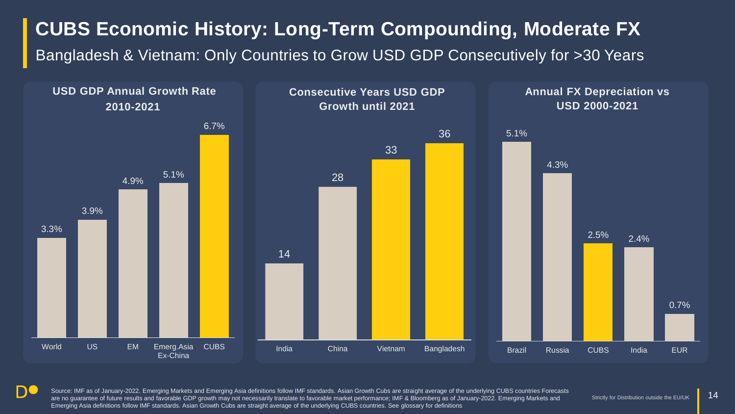# **CUBS Economic History: Long-Term Compounding, Moderate FX**

Bangladesh & Vietnam: Only Countries to Grow USD GDP Consecutively for >30 Years



Source: IMF as of January-2022. Emerging Markets and Emerging Asia definitions follow IMF standards. Asian Growth Cubs are straight average of the underlying CUBS countries Forecasts are no guarantee of future results and favorable GDP growth may not necessarily translate to favorable market performance; IMF & Bloomberg as of January-2022. Emerging Markets and Emerging Asia definitions follow IMF standards. Asian Growth Cubs are straight average of the underlying CUBS countries. See glossary for definitions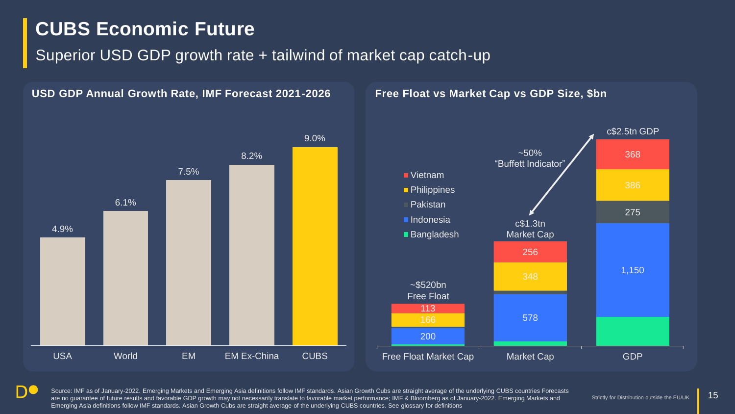# **CUBS Economic Future**

**USD GDP Annual Growth Rate, IMF Forecast 2021-2026**

## Superior USD GDP growth rate + tailwind of market cap catch-up

4.9% 6.1% 7.5% 8.2% 9.0% USA World EM EM Ex-China CUBS

### **Free Float vs Market Cap vs GDP Size, \$bn**



**DC** 

Source: IMF as of January-2022. Emerging Markets and Emerging Asia definitions follow IMF standards. Asian Growth Cubs are straight average of the underlying CUBS countries Forecasts are no guarantee of future results and favorable GDP growth may not necessarily translate to favorable market performance; IMF & Bloomberg as of January-2022. Emerging Markets and Emerging Asia definitions follow IMF standards. Asian Growth Cubs are straight average of the underlying CUBS countries. See glossary for definitions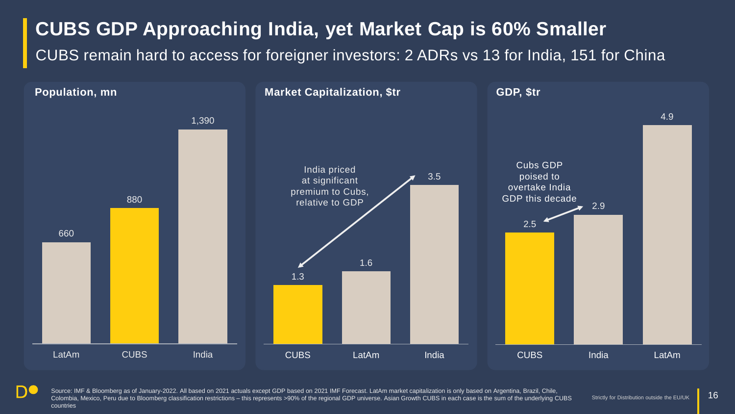## **CUBS GDP Approaching India, yet Market Cap is 60% Smaller**

CUBS remain hard to access for foreigner investors: 2 ADRs vs 13 for India, 151 for China



Source: IMF & Bloomberg as of January-2022. All based on 2021 actuals except GDP based on 2021 IMF Forecast. LatAm market capitalization is only based on Argentina, Brazil, Chile, Colombia, Mexico, Peru due to Bloomberg classification restrictions – this represents >90% of the regional GDP universe. Asian Growth CUBS in each case is the sum of the underlying CUBS countries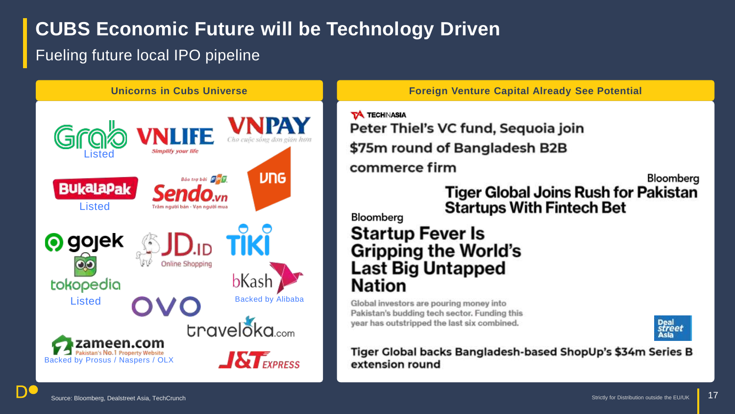# **CUBS Economic Future will be Technology Driven**

## Fueling future local IPO pipeline



**Unicorns in Cubs Universe Foreign Venture Capital Already See Potential** 

**TA TECHINASIA** Peter Thiel's VC fund, Sequoia join \$75m round of Bangladesh B2B commerce firm

Bloomberg

**Tiger Global Joins Rush for Pakistan Startups With Fintech Bet** 

## Bloomberg **Startup Fever Is**

## **Gripping the World's Last Big Untapped** Nation

Global investors are pouring money into Pakistan's budding tech sector. Funding this year has outstripped the last six combined.



Tiger Global backs Bangladesh-based ShopUp's \$34m Series B extension round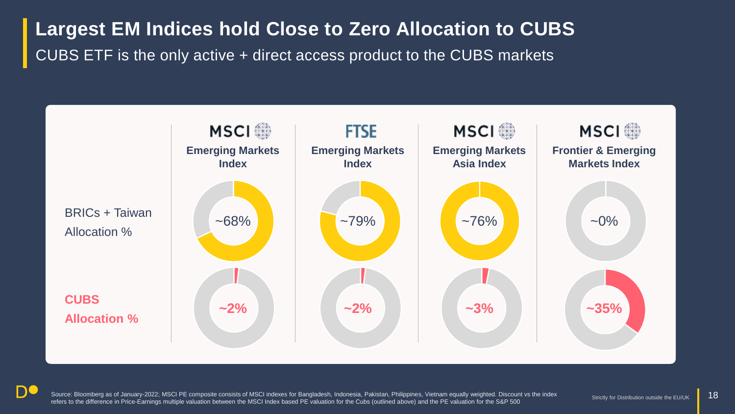**Largest EM Indices hold Close to Zero Allocation to CUBS** CUBS ETF is the only active + direct access product to the CUBS markets



DC

Source: Bloomberg as of January-2022; MSCI PE composite consists of MSCI indexes for Bangladesh, Indonesia, Pakistan, Philippines, Vietnam equally weighted. Discount vs the index refers to the difference in Price-Earnings multiple valuation between the MSCI Index based PE valuation for the Cubs (outlined above) and the PE valuation for the S&P 500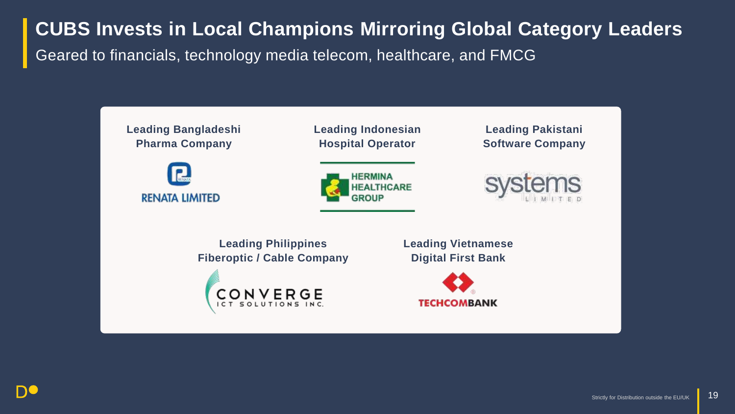# **CUBS Invests in Local Champions Mirroring Global Category Leaders** Geared to financials, technology media telecom, healthcare, and FMCG

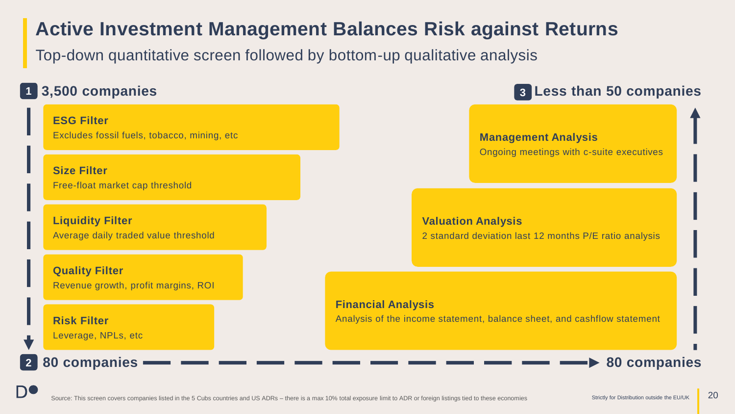## **Active Investment Management Balances Risk against Returns**

Top-down quantitative screen followed by bottom-up qualitative analysis

## **3,500 companies 1**

**Size Filter**

**ESG Filter** Excludes fossil fuels, tobacco, mining, etc

Free-float market cap threshold

**Liquidity Filter** Average daily traded value threshold

**Quality Filter** Revenue growth, profit margins, ROI

**Risk Filter** Leverage, NPLs, etc

### **80 companies**

**2**

**DC** 

## **Less than 50 companies 3**

### **Management Analysis** Ongoing meetings with c-suite executives

**Valuation Analysis** 2 standard deviation last 12 months P/E ratio analysis

### **Financial Analysis**

Analysis of the income statement, balance sheet, and cashflow statement

**80 companies**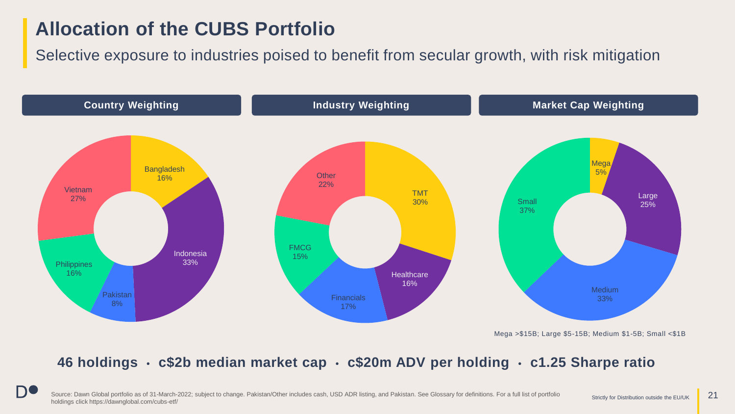## **Allocation of the CUBS Portfolio**

**DC** 

Selective exposure to industries poised to benefit from secular growth, with risk mitigation



Mega >\$15B; Large \$5-15B; Medium \$1-5B; Small <\$1B

## **46 holdings • c\$2b median market cap • c\$20m ADV per holding • c1.25 Sharpe ratio**

Source: Dawn Global portfolio as of 31-March-2022; subject to change. Pakistan/Other includes cash, USD ADR listing, and Pakistan. See Glossary for definitions. For a full list of portfolio Strictly for Distribution outsid holdings click https://dawnglobal.com/cubs-etf/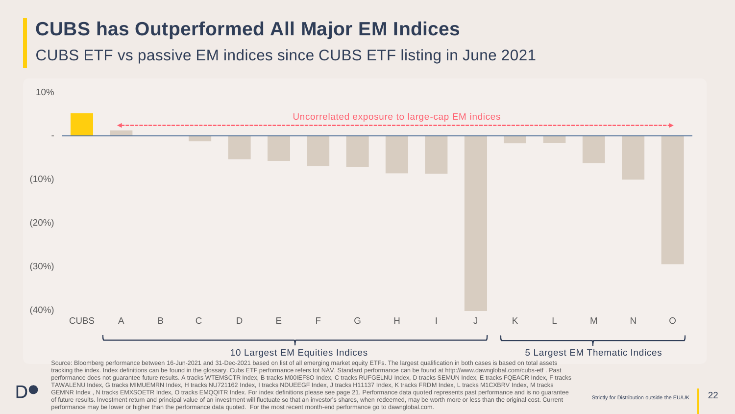# **CUBS has Outperformed All Major EM Indices**

CUBS ETF vs passive EM indices since CUBS ETF listing in June 2021

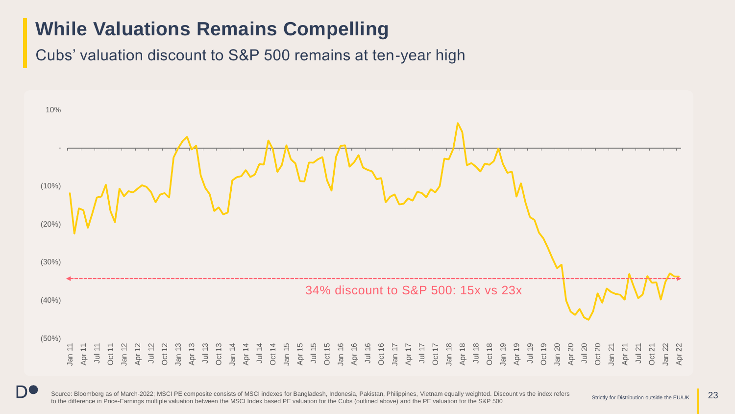## **While Valuations Remains Compelling**

Cubs' valuation discount to S&P 500 remains at ten-year high



Source: Bloomberg as of March-2022; MSCI PE composite consists of MSCI indexes for Bangladesh, Indonesia, Pakistan, Philippines, Vietnam equally weighted. Discount vs the index refers to the difference in Price-Earnings multiple valuation between the MSCI Index based PE valuation for the Cubs (outlined above) and the PE valuation for the S&P 500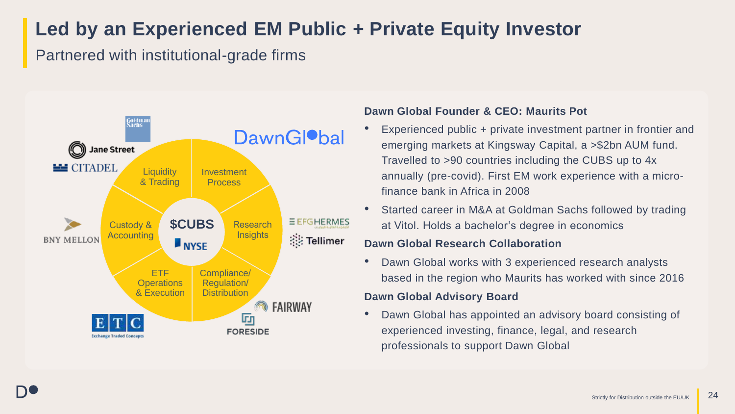# **Led by an Experienced EM Public + Private Equity Investor**

Partnered with institutional-grade firms



### **Dawn Global Founder & CEO: Maurits Pot**

- Experienced public + private investment partner in frontier and emerging markets at Kingsway Capital, a >\$2bn AUM fund. Travelled to >90 countries including the CUBS up to 4x annually (pre-covid). First EM work experience with a microfinance bank in Africa in 2008
- Started career in M&A at Goldman Sachs followed by trading at Vitol. Holds a bachelor's degree in economics

### **Dawn Global Research Collaboration**

• Dawn Global works with 3 experienced research analysts based in the region who Maurits has worked with since 2016

### **Dawn Global Advisory Board**

• Dawn Global has appointed an advisory board consisting of experienced investing, finance, legal, and research professionals to support Dawn Global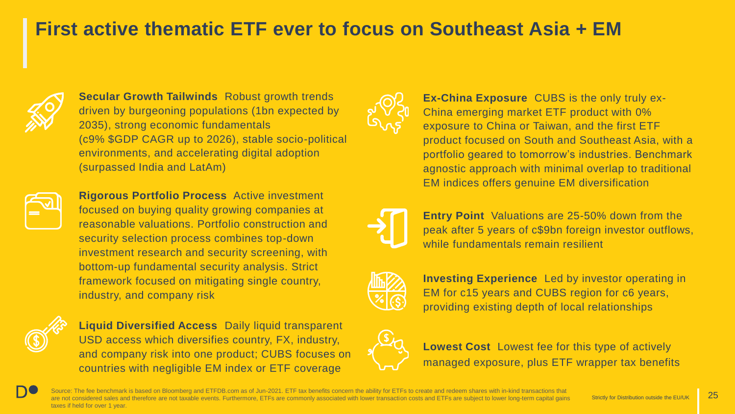## **First active thematic ETF ever to focus on Southeast Asia + EM**



**Secular Growth Tailwinds** Robust growth trends driven by burgeoning populations (1bn expected by 2035), strong economic fundamentals (c9% \$GDP CAGR up to 2026), stable socio-political environments, and accelerating digital adoption (surpassed India and LatAm)



**Rigorous Portfolio Process** Active investment focused on buying quality growing companies at reasonable valuations. Portfolio construction and security selection process combines top-down investment research and security screening, with bottom-up fundamental security analysis. Strict framework focused on mitigating single country, industry, and company risk



**Liquid Diversified Access** Daily liquid transparent USD access which diversifies country, FX, industry, and company risk into one product; CUBS focuses on countries with negligible EM index or ETF coverage



**Ex-China Exposure** CUBS is the only truly ex-China emerging market ETF product with 0% exposure to China or Taiwan, and the first ETF product focused on South and Southeast Asia, with a portfolio geared to tomorrow's industries. Benchmark agnostic approach with minimal overlap to traditional EM indices offers genuine EM diversification



**Entry Point** Valuations are 25-50% down from the peak after 5 years of c\$9bn foreign investor outflows, while fundamentals remain resilient



**Investing Experience** Led by investor operating in EM for c15 years and CUBS region for c6 years, providing existing depth of local relationships



**Lowest Cost** Lowest fee for this type of actively managed exposure, plus ETF wrapper tax benefits

Source: The fee benchmark is based on Bloomberg and ETFDB.com as of Jun-2021. ETF tax benefits concern the ability for ETFs to create and redeem shares with in-kind transactions that are not considered sales and therefore are not taxable events. Furthermore, ETFs are commonly associated with lower transaction costs and ETFs are subject to lower long-term capital gains taxes if held for over 1 year.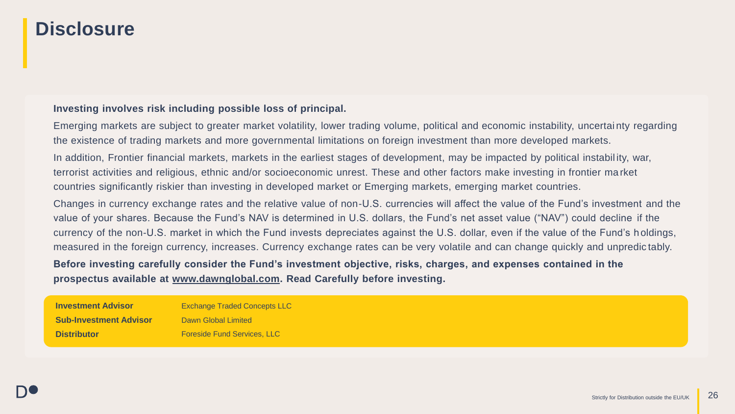## **Disclosure**

### **Investing involves risk including possible loss of principal.**

Emerging markets are subject to greater market volatility, lower trading volume, political and economic instability, uncertai nty regarding the existence of trading markets and more governmental limitations on foreign investment than more developed markets.

In addition, Frontier financial markets, markets in the earliest stages of development, may be impacted by political instabil ity, war, terrorist activities and religious, ethnic and/or socioeconomic unrest. These and other factors make investing in frontier ma rket countries significantly riskier than investing in developed market or Emerging markets, emerging market countries.

Changes in currency exchange rates and the relative value of non-U.S. currencies will affect the value of the Fund's investment and the value of your shares. Because the Fund's NAV is determined in U.S. dollars, the Fund's net asset value ("NAV") could decline if the currency of the non-U.S. market in which the Fund invests depreciates against the U.S. dollar, even if the value of the Fund's holdings, measured in the foreign currency, increases. Currency exchange rates can be very volatile and can change quickly and unpredic tably.

### **Before investing carefully consider the Fund's investment objective, risks, charges, and expenses contained in the prospectus available at [www.dawnglobal.com.](http://www.dawnglobal.com/) Read Carefully before investing.**

**Investment Advisor Sub-Investment Advisor Distributor** Exchange Traded Concepts LLC Dawn Global Limited Foreside Fund Services, LLC